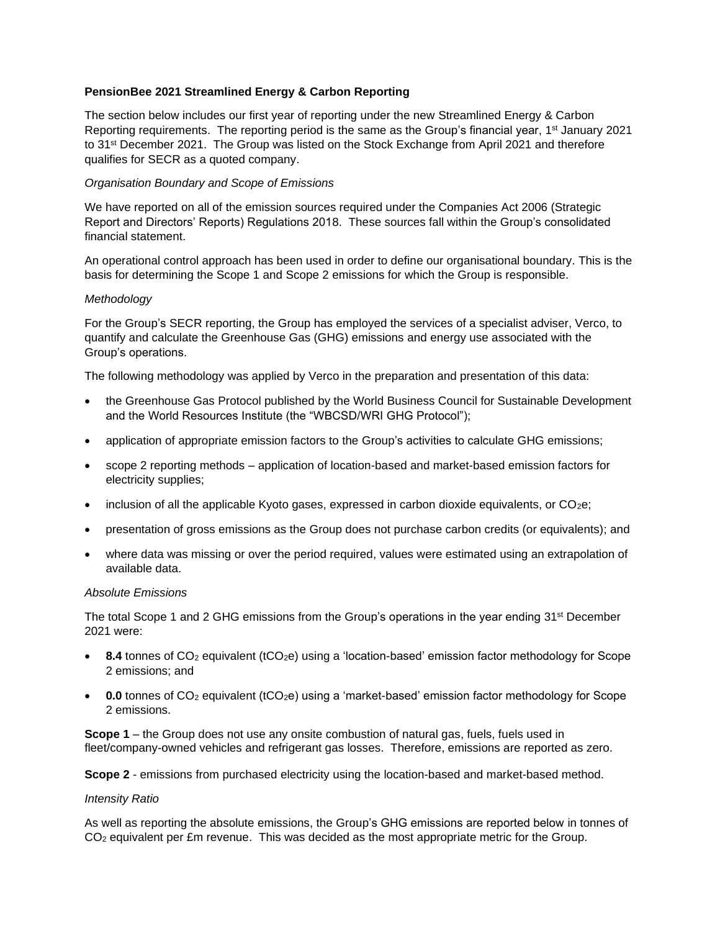## **PensionBee 2021 Streamlined Energy & Carbon Reporting**

The section below includes our first year of reporting under the new Streamlined Energy & Carbon Reporting requirements. The reporting period is the same as the Group's financial year, 1<sup>st</sup> January 2021 to 31<sup>st</sup> December 2021. The Group was listed on the Stock Exchange from April 2021 and therefore qualifies for SECR as a quoted company.

## *Organisation Boundary and Scope of Emissions*

We have reported on all of the emission sources required under the Companies Act 2006 (Strategic Report and Directors' Reports) Regulations 2018. These sources fall within the Group's consolidated financial statement.

An operational control approach has been used in order to define our organisational boundary. This is the basis for determining the Scope 1 and Scope 2 emissions for which the Group is responsible.

### *Methodology*

For the Group's SECR reporting, the Group has employed the services of a specialist adviser, Verco, to quantify and calculate the Greenhouse Gas (GHG) emissions and energy use associated with the Group's operations.

The following methodology was applied by Verco in the preparation and presentation of this data:

- the Greenhouse Gas Protocol published by the World Business Council for Sustainable Development and the World Resources Institute (the "WBCSD/WRI GHG Protocol");
- application of appropriate emission factors to the Group's activities to calculate GHG emissions;
- scope 2 reporting methods application of location-based and market-based emission factors for electricity supplies;
- inclusion of all the applicable Kyoto gases, expressed in carbon dioxide equivalents, or  $CO<sub>2</sub>e$ ;
- presentation of gross emissions as the Group does not purchase carbon credits (or equivalents); and
- where data was missing or over the period required, values were estimated using an extrapolation of available data.

### *Absolute Emissions*

The total Scope 1 and 2 GHG emissions from the Group's operations in the year ending 31st December 2021 were:

- 8.4 tonnes of CO<sub>2</sub> equivalent (tCO<sub>2</sub>e) using a 'location-based' emission factor methodology for Scope 2 emissions; and
- **0.0** tonnes of CO<sub>2</sub> equivalent (tCO<sub>2</sub>e) using a 'market-based' emission factor methodology for Scope 2 emissions.

**Scope 1** – the Group does not use any onsite combustion of natural gas, fuels, fuels used in fleet/company-owned vehicles and refrigerant gas losses. Therefore, emissions are reported as zero.

**Scope 2** - emissions from purchased electricity using the location-based and market-based method.

### *Intensity Ratio*

As well as reporting the absolute emissions, the Group's GHG emissions are reported below in tonnes of CO<sub>2</sub> equivalent per £m revenue. This was decided as the most appropriate metric for the Group.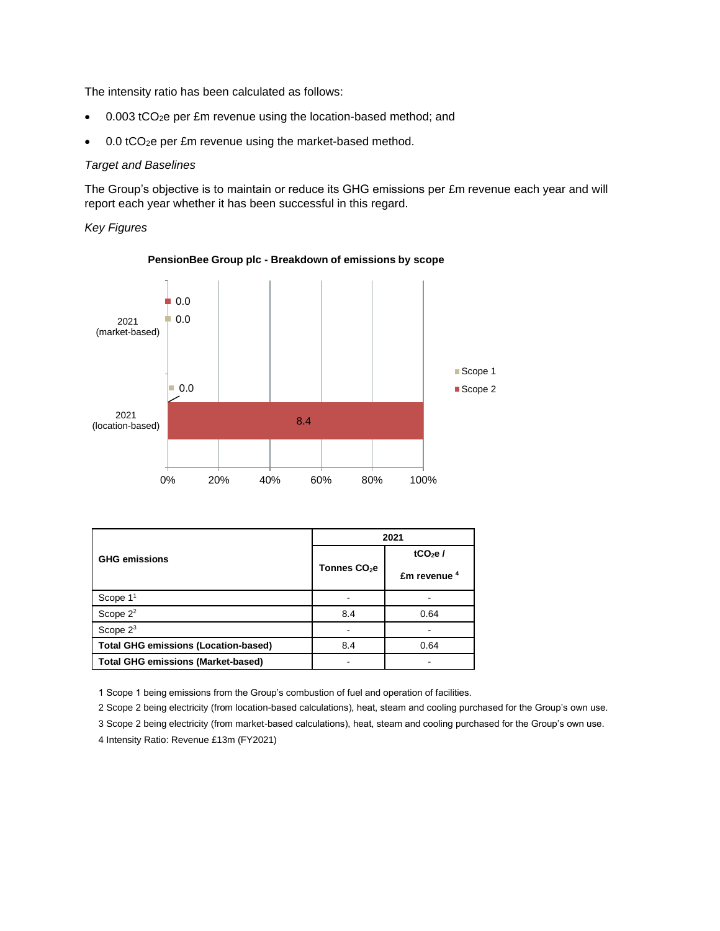The intensity ratio has been calculated as follows:

- 0.003 tCO<sub>2</sub>e per £m revenue using the location-based method; and
- 0.0 tCO<sub>2</sub>e per £m revenue using the market-based method.

#### *Target and Baselines*

The Group's objective is to maintain or reduce its GHG emissions per £m revenue each year and will report each year whether it has been successful in this regard.

*Key Figures*



**PensionBee Group plc - Breakdown of emissions by scope**

| <b>GHG emissions</b>                        | 2021                     |                             |
|---------------------------------------------|--------------------------|-----------------------------|
|                                             |                          | tCO <sub>2</sub> e $\prime$ |
|                                             | Tonnes CO <sub>2</sub> e | $Em$ revenue $4$            |
| Scope 1 <sup>1</sup>                        |                          |                             |
| Scope $2^2$                                 | 8.4                      | 0.64                        |
| Scope $2^3$                                 |                          |                             |
| <b>Total GHG emissions (Location-based)</b> | 8.4                      | 0.64                        |
| <b>Total GHG emissions (Market-based)</b>   |                          |                             |

1 Scope 1 being emissions from the Group's combustion of fuel and operation of facilities.

2 Scope 2 being electricity (from location-based calculations), heat, steam and cooling purchased for the Group's own use.

3 Scope 2 being electricity (from market-based calculations), heat, steam and cooling purchased for the Group's own use.

<sup>4</sup> Intensity Ratio: Revenue £13m (FY2021)